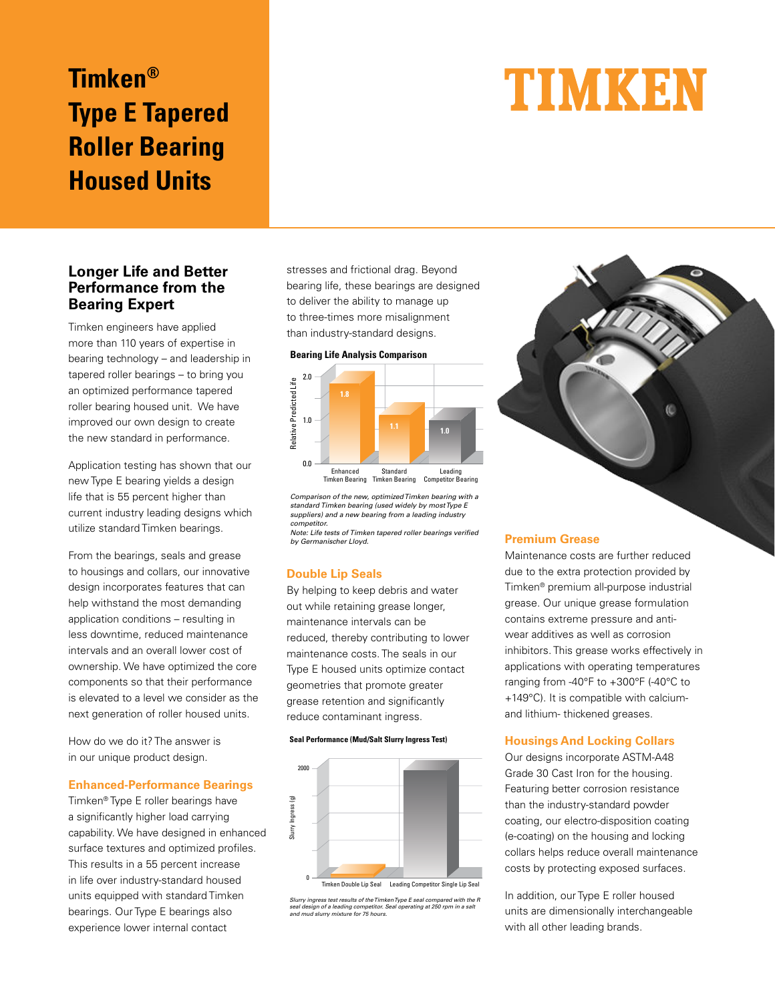## **Timken® Type E Tapered Roller Bearing Housed Units**

# TIMKEN

### **Longer Life and Better Performance from the Bearing Expert**

Timken engineers have applied more than 110 years of expertise in bearing technology – and leadership in tapered roller bearings – to bring you an optimized performance tapered roller bearing housed unit. We have improved our own design to create the new standard in performance.

Application testing has shown that our new Type E bearing yields a design life that is 55 percent higher than current industry leading designs which utilize standard Timken bearings.

From the bearings, seals and grease to housings and collars, our innovative design incorporates features that can help withstand the most demanding application conditions – resulting in less downtime, reduced maintenance intervals and an overall lower cost of ownership. We have optimized the core components so that their performance is elevated to a level we consider as the next generation of roller housed units.

How do we do it? The answer is in our unique product design.

#### **Enhanced-Performance Bearings**

Timken® Type E roller bearings have a significantly higher load carrying capability. We have designed in enhanced surface textures and optimized profiles. This results in a 55 percent increase in life over industry-standard housed units equipped with standard Timken bearings. Our Type E bearings also experience lower internal contact

stresses and frictional drag. Beyond bearing life, these bearings are designed to deliver the ability to manage up to three-times more misalignment than industry-standard designs.





Comparison of the new, optimized Timken bearing with a standard Timken bearing (used widely by most Type E suppliers) and a new bearing from a leading industry competitor.

Note: Life tests of Timken tapered roller bearings verified

#### **Double Lip Seals**

By helping to keep debris and water out while retaining grease longer, maintenance intervals can be reduced, thereby contributing to lower maintenance costs. The seals in our Type E housed units optimize contact geometries that promote greater grease retention and significantly reduce contaminant ingress.

#### **Seal Performance (Mud/Salt Slurry Ingress Test)**



Slurry ingress test results of the Timken Type E seal compared with the R etitor. Seal operating at 250 rpm in a sal

#### **Premium Grease**

Maintenance costs are further reduced due to the extra protection provided by Timken® premium all-purpose industrial grease. Our unique grease formulation contains extreme pressure and antiwear additives as well as corrosion inhibitors. This grease works effectively in applications with operating temperatures ranging from -40°F to +300°F (-40°C to +149°C). It is compatible with calciumand lithium- thickened greases.

œ

#### **Housings And Locking Collars**

Our designs incorporate ASTM-A48 Grade 30 Cast Iron for the housing. Featuring better corrosion resistance than the industry-standard powder coating, our electro-disposition coating (e-coating) on the housing and locking collars helps reduce overall maintenance costs by protecting exposed surfaces.

In addition, our Type E roller housed units are dimensionally interchangeable with all other leading brands.